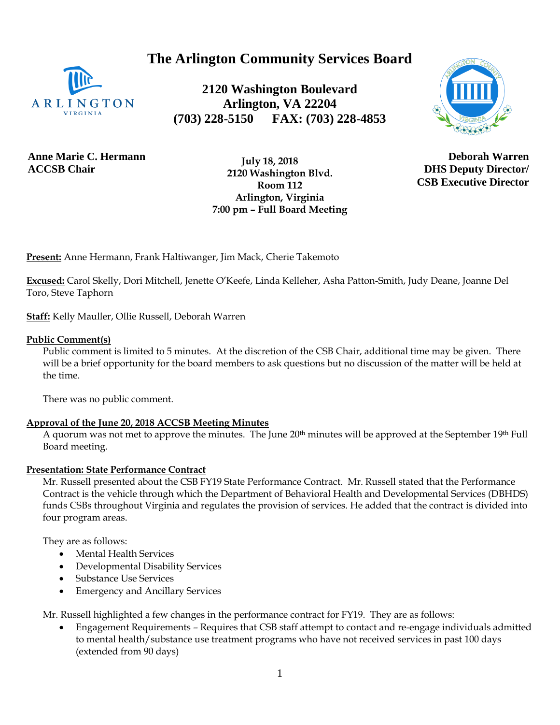# **The Arlington Community Services Board**



**2120 Washington Boulevard Arlington, VA 22204 (703) 228-5150 FAX: (703) 228-4853**



**Anne Marie C. Hermann ACCSB Chair**

 **July 18, 2018 2120 Washington Blvd. Room 112 Arlington, Virginia 7:00 pm – Full Board Meeting**

**Deborah Warren DHS Deputy Director/ CSB Executive Director**

**Present:** Anne Hermann, Frank Haltiwanger, Jim Mack, Cherie Takemoto

**Excused:** Carol Skelly, Dori Mitchell, Jenette O'Keefe, Linda Kelleher, Asha Patton-Smith, Judy Deane, Joanne Del Toro, Steve Taphorn

**Staff:** Kelly Mauller, Ollie Russell, Deborah Warren

#### **Public Comment(s)**

Public comment is limited to 5 minutes. At the discretion of the CSB Chair, additional time may be given. There will be a brief opportunity for the board members to ask question[s but](http://but.no/) no discussion of the matter will be held at the time.

There was no public comment.

#### **Approval of the June 20, 2018 ACCSB Meeting Minutes**

A quorum was not met to approve the minutes. The June 20<sup>th</sup> minutes will be approved at the September 19<sup>th</sup> Full Board meeting.

#### **Presentation: State Performance Contract**

Mr. Russell presented about the CSB FY19 State Performance Contract. Mr. Russell stated that the Performance Contract is the vehicle through which the Department of Behavioral Health and Developmental Services (DBHDS) funds CSBs throughout Virginia and regulates the provision of services. He added that the contract is divided into four program areas.

They are as follows:

- Mental Health Services
- Developmental Disability Services
- Substance Use Services
- Emergency and Ancillary Services

Mr. Russell highlighted a few changes in the performance contract for FY19. They are as follows:

• Engagement Requirements – Requires that CSB staff attempt to contact and re-engage individuals admitted to mental health/substance use treatment programs who have not received services in past 100 days (extended from 90 days)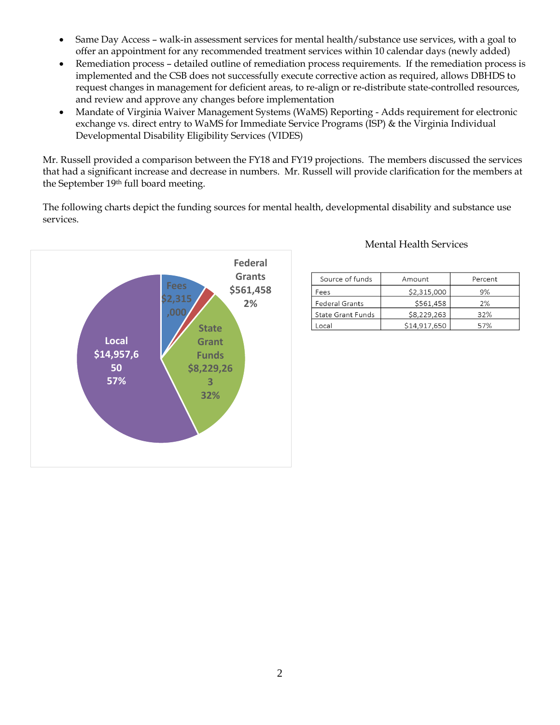- Same Day Access walk-in assessment services for mental health/substance use services, with a goal to offer an appointment for any recommended treatment services within 10 calendar days (newly added)
- Remediation process detailed outline of remediation process requirements. If the remediation process is implemented and the CSB does not successfully execute corrective action as required, allows DBHDS to request changes in management for deficient areas, to re-align or re-distribute state-controlled resources, and review and approve any changes before implementation
- Mandate of Virginia Waiver Management Systems (WaMS) Reporting Adds requirement for electronic exchange vs. direct entry to WaMS for Immediate Service Programs (ISP) & the Virginia Individual Developmental Disability Eligibility Services (VIDES)

Mr. Russell provided a comparison between the FY18 and FY19 projections. The members discussed the services that had a significant increase and decrease in numbers. Mr. Russell will provide clarification for the members at the September 19th full board meeting.

The following charts depict the funding sources for mental health, developmental disability and substance use services.



# Mental Health Services

| Source of funds       | Amount       | Percent |
|-----------------------|--------------|---------|
| Fees                  | \$2,315,000  | 9%      |
| <b>Federal Grants</b> | \$561,458    | 2%      |
| State Grant Funds     | \$8,229,263  | 32%     |
| ocal                  | \$14,917,650 | 57%     |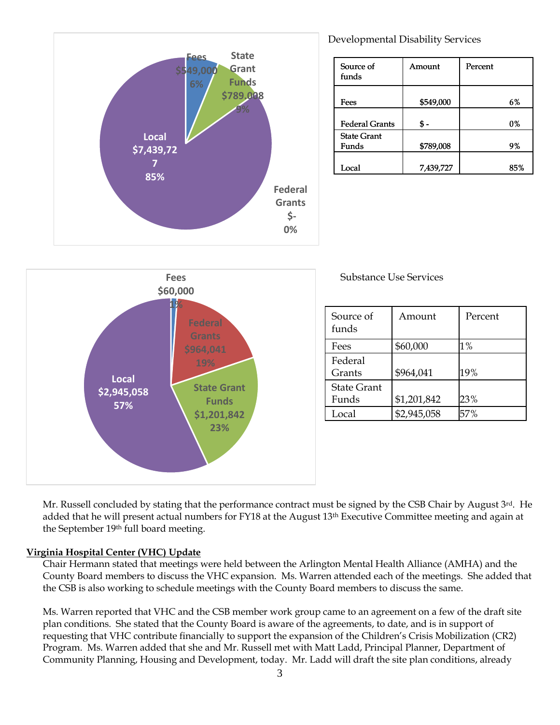



Developmental Disability Services

| Source of<br>funds    | Amount    | Percent |
|-----------------------|-----------|---------|
| Fees                  | \$549,000 | 6%      |
|                       |           |         |
| <b>Federal Grants</b> |           | 0%      |
| <b>State Grant</b>    |           |         |
| Funds                 | \$789,008 | 9%      |
|                       |           |         |
| Local                 | 7,439,727 | 85%     |

Substance Use Services

| Source of<br>funds | Amount      | Percent |
|--------------------|-------------|---------|
| Fees               | \$60,000    | $1\%$   |
| Federal            |             |         |
| Grants             | \$964,041   | 19%     |
| <b>State Grant</b> |             |         |
| Funds              | \$1,201,842 | 23%     |
| Local              | \$2,945,058 | 57%     |

Mr. Russell concluded by stating that the performance contract must be signed by the CSB Chair by August 3rd. He added that he will present actual numbers for FY18 at the August 13<sup>th</sup> Executive Committee meeting and again at the September 19th full board meeting.

## **Virginia Hospital Center (VHC) Update**

Chair Hermann stated that meetings were held between the Arlington Mental Health Alliance (AMHA) and the County Board members to discuss the VHC expansion. Ms. Warren attended each of the meetings. She added that the CSB is also working to schedule meetings with the County Board members to discuss the same.

Ms. Warren reported that VHC and the CSB member work group came to an agreement on a few of the draft site plan conditions. She stated that the County Board is aware of the agreements, to date, and is in support of requesting that VHC contribute financially to support the expansion of the Children's Crisis Mobilization (CR2) Program. Ms. Warren added that she and Mr. Russell met with Matt Ladd, Principal Planner, Department of Community Planning, Housing and Development, today. Mr. Ladd will draft the site plan conditions, already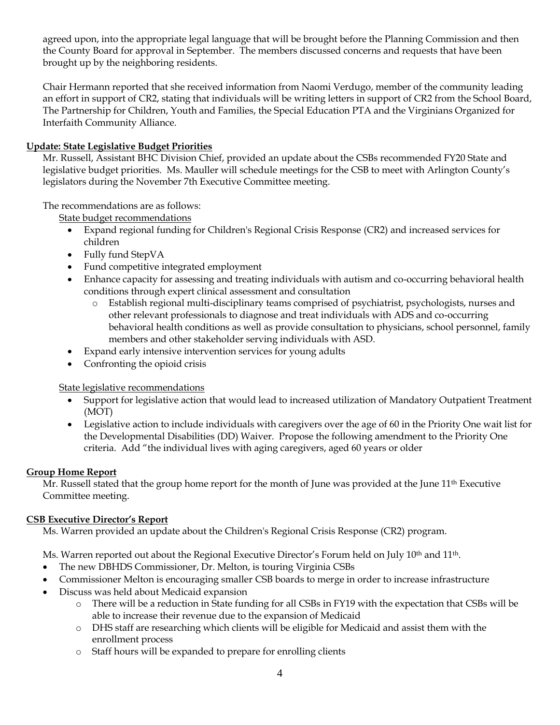agreed upon, into the appropriate legal language that will be brought before the Planning Commission and then the County Board for approval in September. The members discussed concerns and requests that have been brought up by the neighboring residents.

Chair Hermann reported that she received information from Naomi Verdugo, member of the community leading an effort in support of CR2, stating that individuals will be writing letters in support of CR2 from the School Board, The Partnership for Children, Youth and Families, the Special Education PTA and the Virginians Organized for Interfaith Community Alliance.

# **Update: State Legislative Budget Priorities**

Mr. Russell, Assistant BHC Division Chief, provided an update about the CSBs recommended FY20 State and legislative budget priorities. Ms. Mauller will schedule meetings for the CSB to meet with Arlington County's legislators during the November 7th Executive Committee meeting.

# The recommendations are as follows:

State budget recommendations

- Expand regional funding for Children's Regional Crisis Response (CR2) and increased services for children
- Fully fund StepVA
- Fund competitive integrated employment
- Enhance capacity for assessing and treating individuals with autism and co-occurring behavioral health conditions through expert clinical assessment and consultation
	- o Establish regional multi-disciplinary teams comprised of psychiatrist, psychologists, nurses and other relevant professionals to diagnose and treat individuals with ADS and co-occurring behavioral health conditions as well as provide consultation to physicians, school personnel, family members and other stakeholder serving individuals with ASD.
- Expand early intensive intervention services for young adults
- Confronting the opioid crisis

## State legislative recommendations

- Support for legislative action that would lead to increased utilization of Mandatory Outpatient Treatment (MOT)
- Legislative action to include individuals with caregivers over the age of 60 in the Priority One wait list for the Developmental Disabilities (DD) Waiver. Propose the following amendment to the Priority One criteria. Add "the individual lives with aging caregivers, aged 60 years or older

## **Group Home Report**

Mr. Russell stated that the group home report for the month of June was provided at the June 11<sup>th</sup> Executive Committee meeting.

# **CSB Executive Director's Report**

Ms. Warren provided an update about the Children's Regional Crisis Response (CR2) program.

Ms. Warren reported out about the Regional Executive Director's Forum held on July 10<sup>th</sup> and 11<sup>th</sup>.

- The new DBHDS Commissioner, Dr. Melton, is touring Virginia CSBs
- Commissioner Melton is encouraging smaller CSB boards to merge in order to increase infrastructure
- Discuss was held about Medicaid expansion
	- o There will be a reduction in State funding for all CSBs in FY19 with the expectation that CSBs will be able to increase their revenue due to the expansion of Medicaid
	- o DHS staff are researching which clients will be eligible for Medicaid and assist them with the enrollment process
	- o Staff hours will be expanded to prepare for enrolling clients